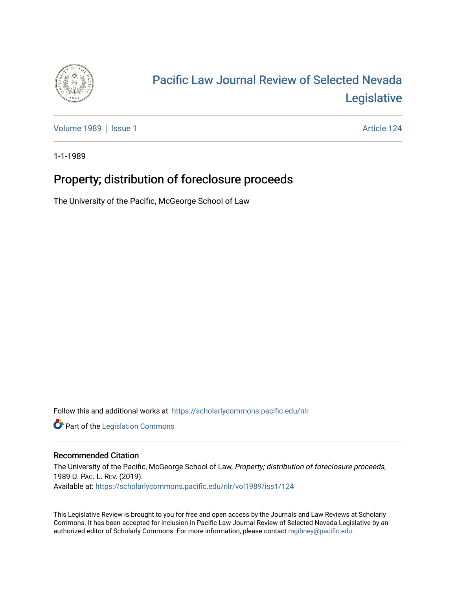

## [Pacific Law Journal Review of Selected Nevada](https://scholarlycommons.pacific.edu/nlr)  [Legislative](https://scholarlycommons.pacific.edu/nlr)

[Volume 1989](https://scholarlycommons.pacific.edu/nlr/vol1989) | [Issue 1](https://scholarlycommons.pacific.edu/nlr/vol1989/iss1) Article 124

1-1-1989

## Property; distribution of foreclosure proceeds

The University of the Pacific, McGeorge School of Law

Follow this and additional works at: [https://scholarlycommons.pacific.edu/nlr](https://scholarlycommons.pacific.edu/nlr?utm_source=scholarlycommons.pacific.edu%2Fnlr%2Fvol1989%2Fiss1%2F124&utm_medium=PDF&utm_campaign=PDFCoverPages) 

**Part of the [Legislation Commons](http://network.bepress.com/hgg/discipline/859?utm_source=scholarlycommons.pacific.edu%2Fnlr%2Fvol1989%2Fiss1%2F124&utm_medium=PDF&utm_campaign=PDFCoverPages)** 

## Recommended Citation

The University of the Pacific, McGeorge School of Law, Property; distribution of foreclosure proceeds, 1989 U. PAC. L. REV. (2019). Available at: [https://scholarlycommons.pacific.edu/nlr/vol1989/iss1/124](https://scholarlycommons.pacific.edu/nlr/vol1989/iss1/124?utm_source=scholarlycommons.pacific.edu%2Fnlr%2Fvol1989%2Fiss1%2F124&utm_medium=PDF&utm_campaign=PDFCoverPages) 

This Legislative Review is brought to you for free and open access by the Journals and Law Reviews at Scholarly Commons. It has been accepted for inclusion in Pacific Law Journal Review of Selected Nevada Legislative by an authorized editor of Scholarly Commons. For more information, please contact [mgibney@pacific.edu](mailto:mgibney@pacific.edu).